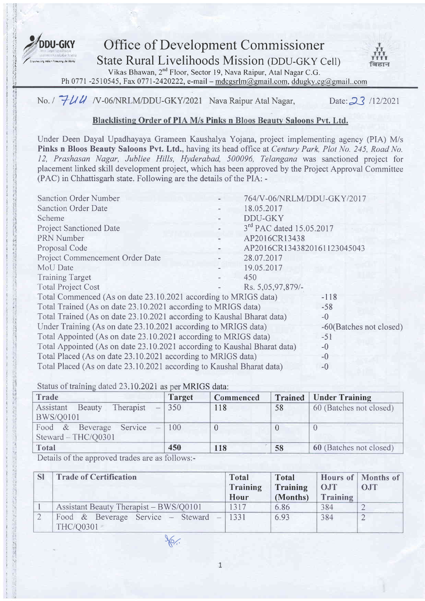

**DDU-GKY** Office of Development Commissioner<br>State Rural Livelihoods Mission (DDU-GKY C<br>Vikas Bhawan, 2<sup>nd</sup> Floor, Sector 19, Nava Raipur, Atal Nagar C.G. **State Rural Livelihoods Mission (DDU-GKY Cell)** 



Vikas Bhawan, 2<sup>nd</sup> Floor, Sector 19, Nava Raipur, Atal Nagar C.G. Ph 0771 -2510545, Fax 0771-2420222, e-mail - mdcgsrlm@gmail.com, ddugky.cg@gmail..com

# No. I  $7/14$  N -06/NRLM/DDU-GKY/2021 Nava Raipur Atal Nagar, Date: 23 /12/2021

#### Blacklisting Order of PIA M/s Pinks n Bloos Beauty Saloons Pvt. Ltd.

Under Deen Dayal Upadhayaya Grameen Kaushalya Yojana, project implementing agency (PIA) M/s Pinks n Bloos Beauty Saloons Pvt. Ltd., having its head office at Century Park, Plot No. 245, Road No. 12, Prashasan Nagar, Jubliee Hills, Hyderabad, 500096, Telangana was sanctioned project for placement linked skill development project, which has been approved by the Project Approval Committee (PAC) in Chhattisgarh state. Following are the details of the PIA: -

| <b>Sanction Order Number</b>                                                     |  | 764/V-06/NRLM/DDU-GKY/2017  |                         |
|----------------------------------------------------------------------------------|--|-----------------------------|-------------------------|
| <b>Sanction Order Date</b>                                                       |  | 18.05.2017                  |                         |
| Scheme                                                                           |  | DDU-GKY                     |                         |
| <b>Project Sanctioned Date</b>                                                   |  | 3rd PAC dated 15.05.2017    |                         |
| PRN Number                                                                       |  | AP2016CR13438               |                         |
| Proposal Code                                                                    |  | AP2016CR1343820161123045043 |                         |
| Project Commencement Order Date                                                  |  | 28.07.2017                  |                         |
| MoU Date                                                                         |  | 19.05.2017                  |                         |
| <b>Training Target</b>                                                           |  | 450                         |                         |
| <b>Total Project Cost</b>                                                        |  | Rs. 5,05,97,879/-           |                         |
| Total Commenced (As on date 23.10.2021 according to MRIGS data)                  |  |                             | $-118$                  |
| Total Trained (As on date 23.10.2021 according to MRIGS data)                    |  |                             | $-58$                   |
| Total Trained (As on date 23.10.2021 according to Kaushal Bharat data)<br>$-0$   |  |                             |                         |
| Under Training (As on date 23.10.2021 according to MRIGS data)                   |  |                             | -60(Batches not closed) |
| Total Appointed (As on date 23.10.2021 according to MRIGS data)<br>$-51$         |  |                             |                         |
| Total Appointed (As on date 23.10.2021 according to Kaushal Bharat data)<br>$-0$ |  |                             |                         |
| Total Placed (As on date 23.10.2021 according to MRIGS data)<br>$-0$             |  |                             |                         |
| Total Placed (As on date 23.10.2021 according to Kaushal Bharat data)<br>$-0$    |  |                             |                         |

Status of training dated 23.10.2021 as per MRIGS data

| Trade                                                                                                                                                                                                                                                                                                                                     | <b>Target</b> | Commenced | <b>Trained</b> | Under Training          |
|-------------------------------------------------------------------------------------------------------------------------------------------------------------------------------------------------------------------------------------------------------------------------------------------------------------------------------------------|---------------|-----------|----------------|-------------------------|
| Therapist $-$<br>Assistant<br>Beauty                                                                                                                                                                                                                                                                                                      | $\vert$ 350   | 118       | 58             | 60 (Batches not closed) |
| <b>BWS/Q0101</b>                                                                                                                                                                                                                                                                                                                          |               |           |                |                         |
| Food & Beverage Service<br>$\overline{a}$                                                                                                                                                                                                                                                                                                 | $\pm 100$     |           |                |                         |
| Steward - THC/Q0301                                                                                                                                                                                                                                                                                                                       |               |           |                |                         |
| <b>Total</b>                                                                                                                                                                                                                                                                                                                              | 450           | 118       | 58             | 60 (Batches not closed) |
| $\mathbb{R}$ $\mathbb{R}$ $\mathbb{R}$ $\mathbb{R}$ $\mathbb{R}$ $\mathbb{R}$ $\mathbb{R}$ $\mathbb{R}$ $\mathbb{R}$ $\mathbb{R}$ $\mathbb{R}$ $\mathbb{R}$ $\mathbb{R}$ $\mathbb{R}$ $\mathbb{R}$ $\mathbb{R}$ $\mathbb{R}$ $\mathbb{R}$ $\mathbb{R}$ $\mathbb{R}$ $\mathbb{R}$ $\mathbb{R}$ $\mathbb{R}$ $\mathbb{R}$ $\mathbb{$<br>1/1 | $C_{11}$      |           |                |                         |

Details of the approved trades are as follows:-

| <b>SI</b> | <b>Trade of Certification</b>                           | Total<br>Training<br><b>Hour</b> | <b>Total</b><br>Training<br>(Months) | <b>OJT</b><br>Training | Hours of Months of<br>O.IT |
|-----------|---------------------------------------------------------|----------------------------------|--------------------------------------|------------------------|----------------------------|
|           | Assistant Beauty Therapist – BWS/Q0101                  | 1317                             | 6.86                                 | 384                    |                            |
|           | Food & Beverage Service - Steward $-$ 1331<br>THC/Q0301 |                                  | 6.93                                 | 384                    |                            |

 $\sqrt{\alpha}$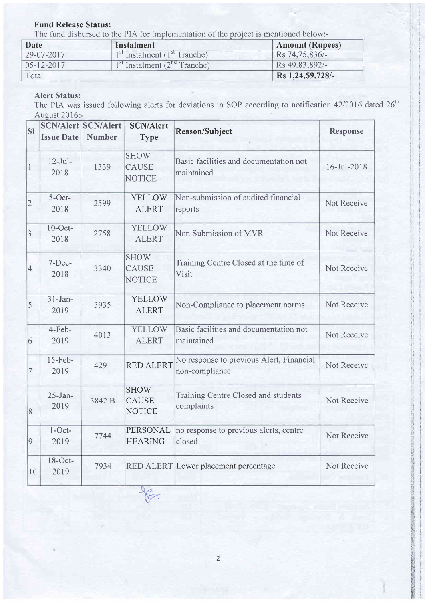### Fund Release Status:

The fund disbursed to the PIA for implementation of the project is mentioned below:-

| Date             | Instalment                                           | <b>Amount (Rupees)</b> |
|------------------|------------------------------------------------------|------------------------|
| 29-07-2017       | 1 <sup>st</sup> Instalment (1 <sup>st</sup> Tranche) | Rs 74,75,836/-         |
| $05 - 12 - 2017$ | $1st$ Instalment ( $2nd$ Tranche)                    | Rs 49.83.892/-         |
| Total            |                                                      | Rs 1,24,59,728/-       |

## AIert Status:

The PIA was issued following alerts for deviations in SOP according to notification 42/2016 dated 26<sup>th</sup> August 2016:-

| <b>SI</b>      | <b>Issue Date</b>   | <b>SCN/Alert SCN/Alert</b><br><b>Number</b> | <b>SCN/Alert</b><br><b>Type</b>              | <b>Reason/Subject</b>                                      | <b>Response</b> |
|----------------|---------------------|---------------------------------------------|----------------------------------------------|------------------------------------------------------------|-----------------|
| 1              | $12-Jul-$<br>2018   | 1339                                        | <b>SHOW</b><br><b>CAUSE</b><br><b>NOTICE</b> | Basic facilities and documentation not<br>maintained       | 16-Jul-2018     |
| $\overline{2}$ | $5-Oct-$<br>2018    | 2599                                        | <b>YELLOW</b><br><b>ALERT</b>                | Non-submission of audited financial<br>reports             | Not Receive     |
| 3              | $10$ -Oct-<br>2018  | 2758                                        | <b>YELLOW</b><br><b>ALERT</b>                | Non Submission of MVR                                      | Not Receive     |
| $\overline{4}$ | 7-Dec-<br>2018      | 3340                                        | <b>SHOW</b><br><b>CAUSE</b><br><b>NOTICE</b> | Training Centre Closed at the time of<br>Visit             | Not Receive     |
| 5              | $31$ -Jan-<br>2019  | 3935                                        | <b>YELLOW</b><br><b>ALERT</b>                | Non-Compliance to placement norms                          | Not Receive     |
| 6              | 4-Feb-<br>2019      | 4013                                        | <b>YELLOW</b><br><b>ALERT</b>                | Basic facilities and documentation not<br>maintained       | Not Receive     |
| 7              | $15$ -Feb-<br>2019  | 4291                                        | <b>RED ALERT</b>                             | No response to previous Alert, Financial<br>non-compliance | Not Receive     |
| 8              | $25 - Jan-$<br>2019 | 3842 B                                      | <b>SHOW</b><br><b>CAUSE</b><br><b>NOTICE</b> | Training Centre Closed and students<br>complaints          | Not Receive     |
| 9              | $1$ -Oct-<br>2019   | 7744                                        | PERSONAL<br><b>HEARING</b>                   | no response to previous alerts, centre<br>closed           | Not Receive     |
| 10             | $18$ -Oct-<br>2019  | 7934                                        | $\overline{\mathbf{N}}$                      | RED ALERT Lower placement percentage                       | Not Receive     |

 $X^c$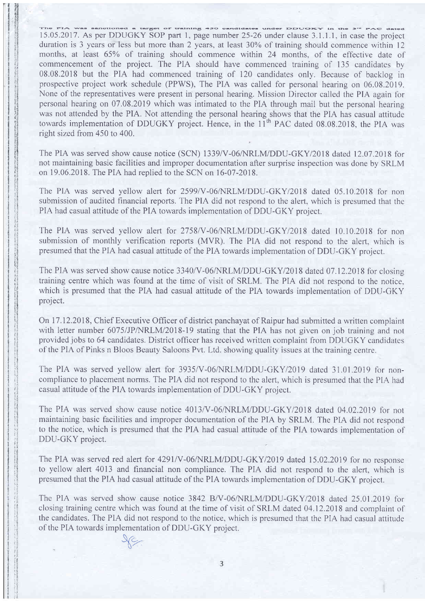The FIA was sanotioned a target of training 450 candidates under DIOUORY in the 3<sup>rd</sup> PAG dated 15.05.2017. As per DDUGKY SOP part 1, page number 25-26 under clause 3.1.1.1, in case the project duration is 3 years or less but more than 2 years, at least  $30\%$  of training should commence within 12 months, at least 65% of training should commence within 24 months, of the effective date of commencement of the project. The PIA should have commenced training of 135 candidates by 08.08.2018 but the PIA had commenced training of 120 candidates only. Because of backlog in prospective project work schedule (PPWS), The PIA was called for personal hearing on 06.08.2019. None of the representatives were present in personal hearing. Mission Director called the PIA again for personal hearing on 07.08.2019 which was intimated to the PIA through mail but the personal hearing was not attended by the PIA. Not attending the personal hearing shows that the PIA has casual attitude towards implementation of DDUGKY project. Hence, in the  $11<sup>th</sup>$  PAC dated 08.08.2018, the PIA was right sized from 450 to 400.

The PIA was served show cause notice (SCN) 1339/V-06/NRLM/DDU-GKY/2018 dated 12.07.2018 for not maintaining basic facilities and improper documentation after surprise inspection was done by SRLM on 19.06.2018. The PIA had replied to the SCN on 16-07-2018.

The PIA was served yellow alert for 2599/V-06/NRLM/DDU-GKY/2018 dated 05.10.2018 for non submission of audited financial reports. The PIA did not respond to the alert, which is presumed that the PIA had casual attitude of the PIA towards implementation of DDU-GKY project.

The PIA was served yellow alert for 2758/V-06/NRLM/DDU-GKY/2018 dated 10.10.2018 for non submission of monthly verification reports (MVR). The PIA did not respond to the alert, which is presumed that the PIA had casual attitude of the PIA towards implementation of DDU-GKY project.

The PIA was served show cause notice 3340/V-06/NRLM/DDU-GKY/2018 dated 07.12.2018 for closing training centre which was found at the time of visit of SRLM. The PIA did not respond to the notice. which is presumed that the PIA had casual attitude of the PIA towards implementation of DDU-GKY project.

On 17 .12.201 8, Chief Executive Officer of district panchayat of Raipur had submitted a written complaint with letter number 6075/JP/NRLM/2018-19 stating that the PIA has not given on job training and not provided jobs to 64 candidates. District officer has received written complaint from DDUGKY candidates of the PIA of Pinks n Bloos Beauty Saloons Pvt. Ltd. showing quality issues at the training centre.

The PIA was served yellow alert for 3935/V-06/NRLM/DDU-GKY/2019 dated 31.01.2019 for noncompliance to placement norms. The PIA did not respond to the alert, which is presumed that the PIA had casual attitude of the PIA towards implementation of DDU-GKY project.

The PIA was served show cause notice 4013/V-06/NRLM/DDU-GKY/2018 dated 04.02.2019 for not maintaining basic facilities and improper documentation of the PIA by SRLM. The PIA did not respond to the notice, which is presumed that the PIA had casual attitude of the PIA towards implementation of DDU-GKY project.

The PIA was served red alert for 4291/V-06/NRLM/DDU-GKY/2019 dated 15.02.2019 for no response to yellow alert 4013 and financial non compliance. The PIA did not respond to the alert, which is presumed that the PIA had casual attitude of the PIA towards implementation of DDU-GKY project.

The PIA was served show cause notice 3842 B/V-06/NRLM/DDU-GKY/2018 dated 25.01.2019 for closing training centre which was found at the time of visit of SRLM dated 04.12.2018 and complaint of the candidates. The PIA did not respond to the notice, which is presumed that the PIA had casual attitude of the PIA towards implementation of DDU-GKY project.

a'/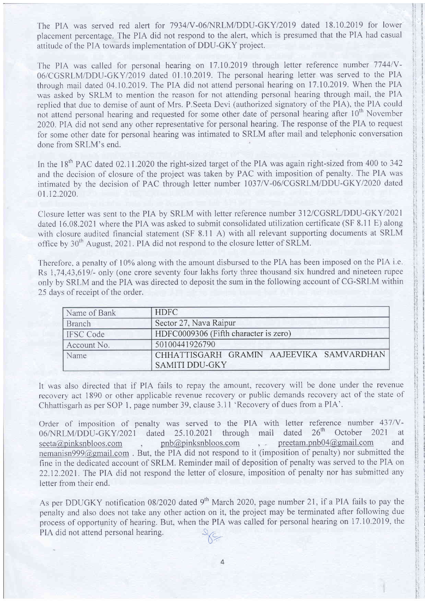The PIA was served red alert for 7934/V-06/NRLM/DDU-GKY/2019 dated 18.10.2019 for lower placement percentage. The PIA did not respond to the alert, which is presumed that the PIA had casual attitude of the PIA towards implementation of DDU-GKY project.

The PIA was called for personal hearing on 17.10.2019 through letter reference number 7744/V-06/CGSRLM/DDU-GKYl20l9 dated 01.10.2019. The personal hearing letter was served to the PIA through mail dated 04.10.2019. The PIA did not attend personal hearing on 17.10.2019. When the PIA was asked by SRLM to mention the reason for not attending personal hearing through mail, the PIA replied that due to demise of aunt of Mrs. P.Seeta Devi (authorized signatory of the PIA), the PIA could not attend personal hearing and requested for some other date of personal hearing after 10<sup>th</sup> November 2020. PIA did not send any other representative for personal hearing. The response of the PIA to request for some other date for personal hearing was intimated to SRLM after mail and telephonic conversation done from SRLM's end.

In the 18<sup>th</sup> PAC dated 02.11.2020 the right-sized target of the PIA was again right-sized from 400 to 342 and the decision of closure of the project was taken by PAC with imposition of penalty. The PIA was intimated by the decision of PAC through letter number 1037/V-06/CGSRLM/DDU-GKY/2020 dated 01.12.2020.

Closure letter was sent to the PIA by SRLM with letter reference number 312/CGSRL/DDU-GKY/2021 dated 16.08.2021 where the PIA was asked to submit consolidated utilization certificate (SF 8.11 E) along with closure audited financial statement (SF 8.11 A) with all relevant supporting documents at SRLM office by  $30<sup>th</sup>$  August, 2021. PIA did not respond to the closure letter of SRLM.

Therefore, a penalty of 10% along with the amount disbursed to the PIA has been imposed on the PIA i.e. Rs 1,74,43,619/- only (one crore seventy four lakhs forty three thousand six hundred and nineteen rupee only by SRLM and the PIA was directed to deposit the sum in the following account of CG-SRLM within 25 days of receipt of the order.

| Name of Bank     | <b>HDFC</b>                              |  |  |
|------------------|------------------------------------------|--|--|
| <b>Branch</b>    | Sector 27, Nava Raipur                   |  |  |
| <b>IFSC Code</b> | HDFC0009306 (Fifth character is zero)    |  |  |
| Account No.      | 50100441926790                           |  |  |
| Name             | CHHATTISGARH GRAMIN AAJEEVIKA SAMVARDHAN |  |  |
|                  | <b>SAMITI DDU-GKY</b>                    |  |  |

It was also directed that if PIA fails to repay the amount, recovery will be done under the revenue recovery act 1890 or other applicable revenue recovery or public demands recovery act of the state of Chhattisgarh as per SOP 1, page number 39, clause 3.11 'Recovery of dues from a PIA'.

Order of imposition of penalty was served to the PIA with letter reference number  $437/V - 06/NRLM/DDU - GKY/2021$  dated  $25.10.2021$  through mail dated  $26<sup>th</sup>$  October 2021 at  $25.10.2021$  through mail dated  $26<sup>th</sup>$  October 2021 at seeta@pinksnbloos.com , pnb@pinksnbloos.com , preetam.pnb04@gmail.com and nemanisn999@gmail.com . But, the PIA did not respond to it (imposition of penalty) nor submitted the fine in the dedicated account of SRLM. Reminder mail of deposition of penalty was served to the PIA on 22.12.2021. The PIA did not respond the letter of closure, imposition of penalty nor has submitted any letter from their end.

As per DDUGKY notification 08/2020 dated 9<sup>th</sup> March 2020, page number 21, if a PIA fails to pay the penalty and also does not take any other action on it, the project may be terminated after following due process of opportunity of hearing. But, when the PIA was called for personal hearing on 17.10.2019, the PIA did not attend personal hearing.